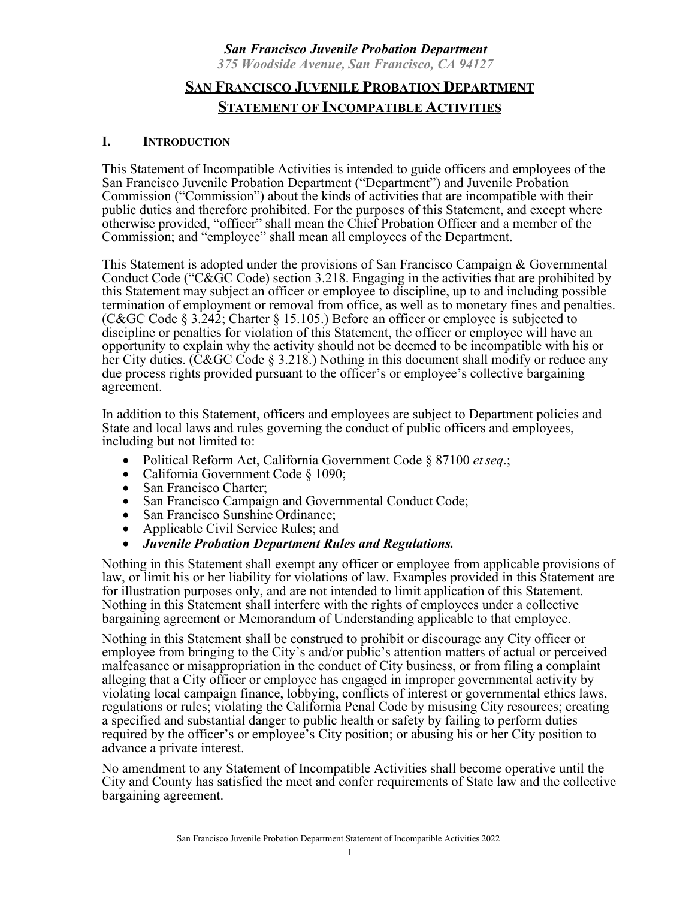### *San Francisco Juvenile Probation Department 375 Woodside Avenue, San Francisco, CA 94127*

# **SAN FRANCISCO JUVENILE PROBATION DEPARTMENT STATEMENT OF INCOMPATIBLE ACTIVITIES**

### **I. INTRODUCTION**

This Statement of Incompatible Activities is intended to guide officers and employees of the San Francisco Juvenile Probation Department ("Department") and Juvenile Probation Commission ("Commission") about the kinds of activities that are incompatible with their public duties and therefore prohibited. For the purposes of this Statement, and except where otherwise provided, "officer" shall mean the Chief Probation Officer and a member of the Commission; and "employee" shall mean all employees of the Department.

This Statement is adopted under the provisions of San Francisco Campaign & Governmental Conduct Code ("C&GC Code) section 3.218. Engaging in the activities that are prohibited by this Statement may subject an officer or employee to discipline, up to and including possible termination of employment or removal from office, as well as to monetary fines and penalties. (C&GC Code § 3.242; Charter § 15.105.) Before an officer or employee is subjected to discipline or penalties for violation of this Statement, the officer or employee will have an opportunity to explain why the activity should not be deemed to be incompatible with his or her City duties. (C&GC Code § 3.218.) Nothing in this document shall modify or reduce any due process rights provided pursuant to the officer's or employee's collective bargaining agreement.

In addition to this Statement, officers and employees are subject to Department policies and State and local laws and rules governing the conduct of public officers and employees, including but not limited to:

- Political Reform Act, California Government Code § 87100 *etseq*.;
- California Government Code § 1090;
- San Francisco Charter;
- San Francisco Campaign and Governmental Conduct Code;<br>• San Francisco Sunshine Ordinance:
- 
- Applicable Civil Service Rules; and
- *Juvenile Probation Department Rules and Regulations.*

Nothing in this Statement shall exempt any officer or employee from applicable provisions of law, or limit his or her liability for violations of law. Examples provided in this Statement are for illustration purposes only, and are not intended to limit application of this Statement. Nothing in this Statement shall interfere with the rights of employees under a collective bargaining agreement or Memorandum of Understanding applicable to that employee.

Nothing in this Statement shall be construed to prohibit or discourage any City officer or employee from bringing to the City's and/or public's attention matters of actual or perceived malfeasance or misappropriation in the conduct of City business, or from filing a complaint alleging that a City officer or employee has engaged in improper governmental activity by violating local campaign finance, lobbying, conflicts of interest or governmental ethics laws, regulations or rules; violating the California Penal Code by misusing City resources; creating a specified and substantial danger to public health or safety by failing to perform duties required by the officer's or employee's City position; or abusing his or her City position to advance a private interest.

No amendment to any Statement of Incompatible Activities shall become operative until the City and County has satisfied the meet and confer requirements of State law and the collective bargaining agreement.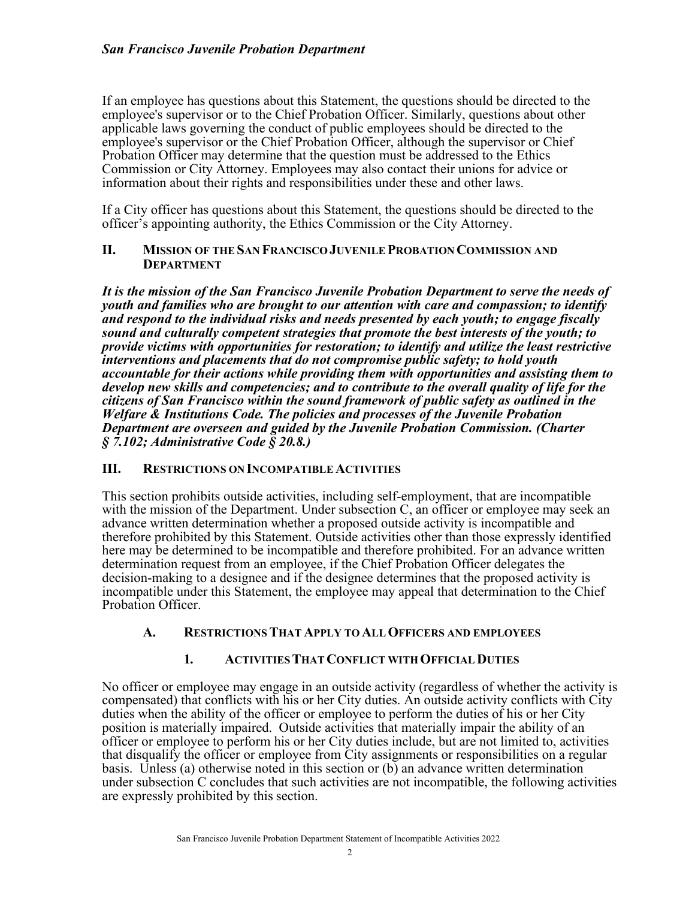If an employee has questions about this Statement, the questions should be directed to the employee's supervisor or to the Chief Probation Officer. Similarly, questions about other applicable laws governing the conduct of public employees should be directed to the employee's supervisor or the Chief Probation Officer, although the supervisor or Chief Probation Officer may determine that the question must be addressed to the Ethics Commission or City Attorney. Employees may also contact their unions for advice or information about their rights and responsibilities under these and other laws.

If a City officer has questions about this Statement, the questions should be directed to the officer's appointing authority, the Ethics Commission or the City Attorney.

#### **II. MISSION OF THE SAN FRANCISCO JUVENILE PROBATION COMMISSION AND DEPARTMENT**

*It is the mission of the San Francisco Juvenile Probation Department to serve the needs of youth and families who are brought to our attention with care and compassion; to identify and respond to the individual risks and needs presented by each youth; to engage fiscally sound and culturally competent strategies that promote the best interests of the youth; to provide victims with opportunities for restoration; to identify and utilize the least restrictive interventions and placements that do not compromise public safety; to hold youth accountable for their actions while providing them with opportunities and assisting them to develop new skills and competencies; and to contribute to the overall quality of life for the citizens of San Francisco within the sound framework of public safety as outlined in the Welfare & Institutions Code. The policies and processes of the Juvenile Probation Department are overseen and guided by the Juvenile Probation Commission. (Charter § 7.102; Administrative Code § 20.8.)*

### **III. RESTRICTIONS ON INCOMPATIBLEACTIVITIES**

This section prohibits outside activities, including self-employment, that are incompatible with the mission of the Department. Under subsection C, an officer or employee may seek an advance written determination whether a proposed outside activity is incompatible and therefore prohibited by this Statement. Outside activities other than those expressly identified here may be determined to be incompatible and therefore prohibited. For an advance written determination request from an employee, if the Chief Probation Officer delegates the decision-making to a designee and if the designee determines that the proposed activity is incompatible under this Statement, the employee may appeal that determination to the Chief Probation Officer.

### **A. RESTRICTIONSTHAT APPLY TO ALLOFFICERS AND EMPLOYEES**

### **1. ACTIVITIESTHATCONFLICT WITH OFFICIALDUTIES**

No officer or employee may engage in an outside activity (regardless of whether the activity is compensated) that conflicts with his or her City duties. An outside activity conflicts with City duties when the ability of the officer or employee to perform the duties of his or her City position is materially impaired. Outside activities that materially impair the ability of an officer or employee to perform his or her City duties include, but are not limited to, activities that disqualify the officer or employee from City assignments or responsibilities on a regular basis. Unless (a) otherwise noted in this section or (b) an advance written determination under subsection C concludes that such activities are not incompatible, the following activities are expressly prohibited by this section.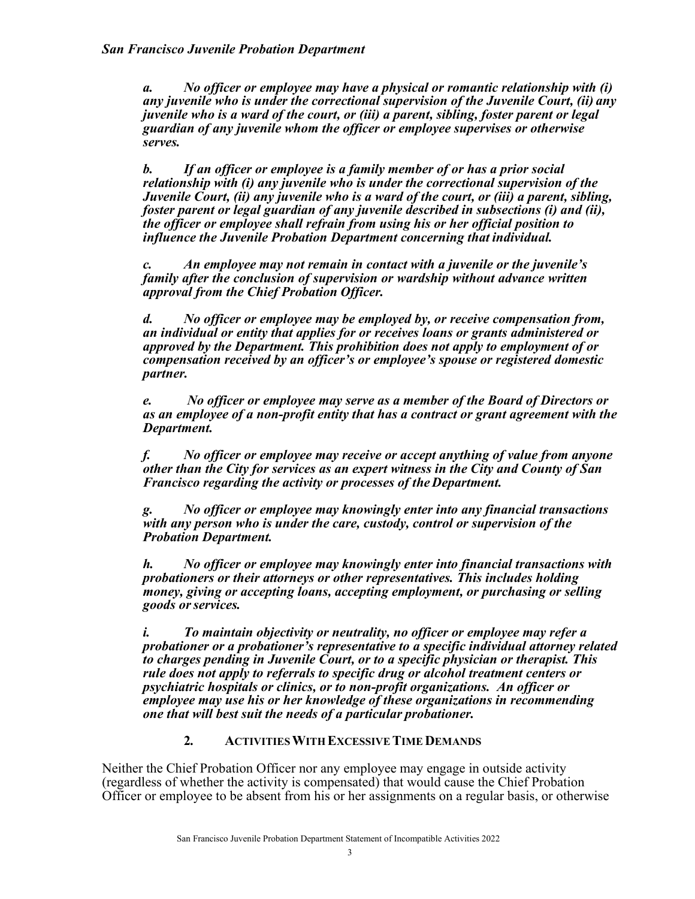*a. No officer or employee may have a physical or romantic relationship with (i) any juvenile who is under the correctional supervision of the Juvenile Court, (ii) any juvenile who is a ward of the court, or (iii) a parent, sibling, foster parent or legal guardian of any juvenile whom the officer or employee supervises or otherwise serves.*

*b. If an officer or employee is a family member of or has a prior social relationship with (i) any juvenile who is under the correctional supervision of the Juvenile Court, (ii) any juvenile who is a ward of the court, or (iii) a parent, sibling, foster parent or legal guardian of any juvenile described in subsections (i) and (ii), the officer or employee shall refrain from using his or her official position to influence the Juvenile Probation Department concerning that individual.*

*c. An employee may not remain in contact with a juvenile or the juvenile's family after the conclusion of supervision or wardship without advance written approval from the Chief Probation Officer.*

*d. No officer or employee may be employed by, or receive compensation from, an individual or entity that applies for or receives loans or grants administered or approved by the Department. This prohibition does not apply to employment of or compensation received by an officer's or employee's spouse or registered domestic partner.*

*e. No officer or employee may serve as a member of the Board of Directors or as an employee of a non-profit entity that has a contract or grant agreement with the Department.*

*f. No officer or employee may receive or accept anything of value from anyone other than the City for services as an expert witness in the City and County of San Francisco regarding the activity or processes of theDepartment.*

*g. No officer or employee may knowingly enter into any financial transactions with any person who is under the care, custody, control or supervision of the Probation Department.*

*h. No officer or employee may knowingly enter into financial transactions with probationers or their attorneys or other representatives. This includes holding money, giving or accepting loans, accepting employment, or purchasing or selling goods orservices.*

*i. To maintain objectivity or neutrality, no officer or employee may refer a probationer or a probationer's representative to a specific individual attorney related to charges pending in Juvenile Court, or to a specific physician or therapist. This rule does not apply to referrals to specific drug or alcohol treatment centers or psychiatric hospitals or clinics, or to non-profit organizations. An officer or employee may use his or her knowledge of these organizations in recommending one that will best suit the needs of a particular probationer.*

### **2. ACTIVITIESWITH EXCESSIVE TIMEDEMANDS**

Neither the Chief Probation Officer nor any employee may engage in outside activity (regardless of whether the activity is compensated) that would cause the Chief Probation Officer or employee to be absent from his or her assignments on a regular basis, or otherwise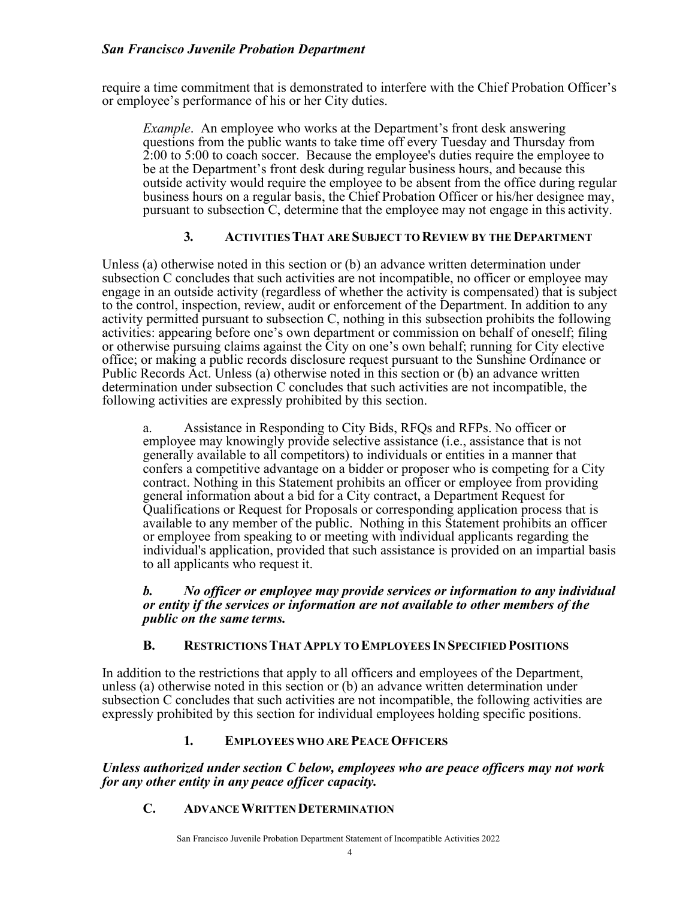### *San Francisco Juvenile Probation Department*

require a time commitment that is demonstrated to interfere with the Chief Probation Officer's or employee's performance of his or her City duties.

*Example*. An employee who works at the Department's front desk answering questions from the public wants to take time off every Tuesday and Thursday from 2:00 to 5:00 to coach soccer. Because the employee's duties require the employee to be at the Department's front desk during regular business hours, and because this outside activity would require the employee to be absent from the office during regular business hours on a regular basis, the Chief Probation Officer or his/her designee may, pursuant to subsection C, determine that the employee may not engage in this activity.

### **3. ACTIVITIESTHAT ARE SUBJECT TO REVIEW BY THE DEPARTMENT**

Unless (a) otherwise noted in this section or (b) an advance written determination under subsection C concludes that such activities are not incompatible, no officer or employee may engage in an outside activity (regardless of whether the activity is compensated) that is subject to the control, inspection, review, audit or enforcement of the Department. In addition to any activity permitted pursuant to subsection C, nothing in this subsection prohibits the following activities: appearing before one's own department or commission on behalf of oneself; filing or otherwise pursuing claims against the City on one's own behalf; running for City elective office; or making a public records disclosure request pursuant to the Sunshine Ordinance or Public Records Act. Unless (a) otherwise noted in this section or (b) an advance written determination under subsection C concludes that such activities are not incompatible, the following activities are expressly prohibited by this section.

a. Assistance in Responding to City Bids, RFQs and RFPs. No officer or employee may knowingly provide selective assistance (i.e., assistance that is not generally available to all competitors) to individuals or entities in a manner that confers a competitive advantage on a bidder or proposer who is competing for a City contract. Nothing in this Statement prohibits an officer or employee from providing general information about a bid for a City contract, a Department Request for Qualifications or Request for Proposals or corresponding application process that is available to any member of the public. Nothing in this Statement prohibits an officer or employee from speaking to or meeting with individual applicants regarding the individual's application, provided that such assistance is provided on an impartial basis to all applicants who request it.

#### *b. No officer or employee may provide services or information to any individual or entity if the services or information are not available to other members of the public on the same terms.*

### **B. RESTRICTIONSTHATAPPLY TO EMPLOYEES IN SPECIFIED POSITIONS**

In addition to the restrictions that apply to all officers and employees of the Department, unless (a) otherwise noted in this section or (b) an advance written determination under subsection C concludes that such activities are not incompatible, the following activities are expressly prohibited by this section for individual employees holding specific positions.

#### **1. EMPLOYEES WHO ARE PEACEOFFICERS**

*Unless authorized under section C below, employees who are peace officers may not work for any other entity in any peace officer capacity.*

### **C. ADVANCEWRITTEN DETERMINATION**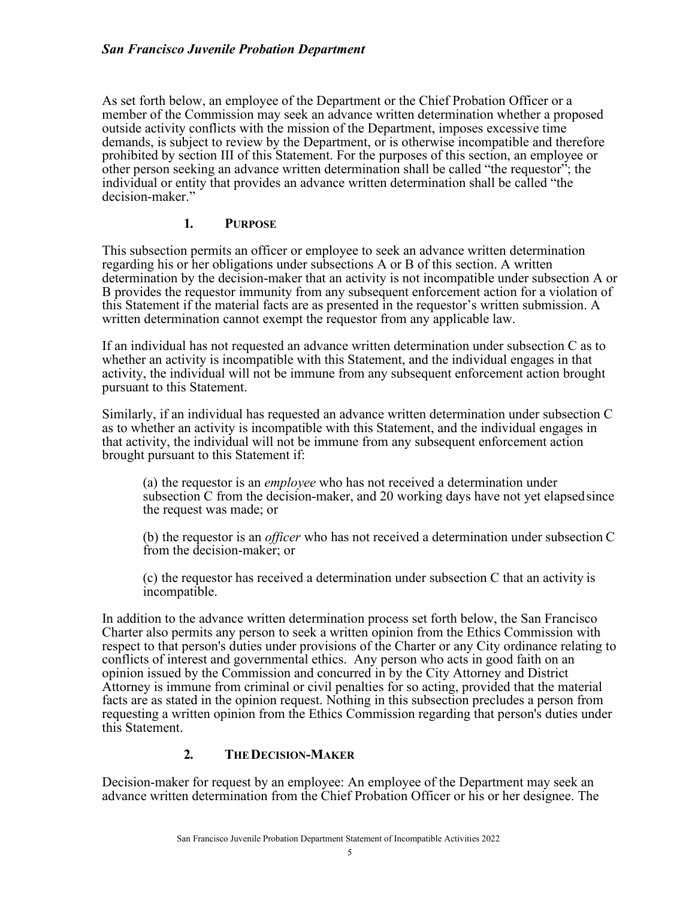As set forth below, an employee of the Department or the Chief Probation Officer or a member of the Commission may seek an advance written determination whether a proposed outside activity conflicts with the mission of the Department, imposes excessive time demands, is subject to review by the Department, or is otherwise incompatible and therefore prohibited by section III of this Statement. For the purposes of this section, an employee or other person seeking an advance written determination shall be called "the requestor"; the individual or entity that provides an advance written determination shall be called "the decision-maker."

### **1. PURPOSE**

This subsection permits an officer or employee to seek an advance written determination regarding his or her obligations under subsections A or B of this section. A written determination by the decision-maker that an activity is not incompatible under subsection A or B provides the requestor immunity from any subsequent enforcement action for a violation of this Statement if the material facts are as presented in the requestor's written submission. A written determination cannot exempt the requestor from any applicable law.

If an individual has not requested an advance written determination under subsection C as to whether an activity is incompatible with this Statement, and the individual engages in that activity, the individual will not be immune from any subsequent enforcement action brought pursuant to this Statement.

Similarly, if an individual has requested an advance written determination under subsection C as to whether an activity is incompatible with this Statement, and the individual engages in that activity, the individual will not be immune from any subsequent enforcement action brought pursuant to this Statement if:

(a) the requestor is an *employee* who has not received a determination under subsection C from the decision-maker, and 20 working days have not yet elapsedsince the request was made; or

(b) the requestor is an *officer* who has not received a determination under subsection C from the decision-maker; or

(c) the requestor has received a determination under subsection C that an activity is incompatible.

In addition to the advance written determination process set forth below, the San Francisco Charter also permits any person to seek a written opinion from the Ethics Commission with respect to that person's duties under provisions of the Charter or any City ordinance relating to conflicts of interest and governmental ethics. Any person who acts in good faith on an opinion issued by the Commission and concurred in by the City Attorney and District Attorney is immune from criminal or civil penalties for so acting, provided that the material facts are as stated in the opinion request. Nothing in this subsection precludes a person from requesting a written opinion from the Ethics Commission regarding that person's duties under this Statement.

# **2. THEDECISION-MAKER**

Decision-maker for request by an employee: An employee of the Department may seek an advance written determination from the Chief Probation Officer or his or her designee. The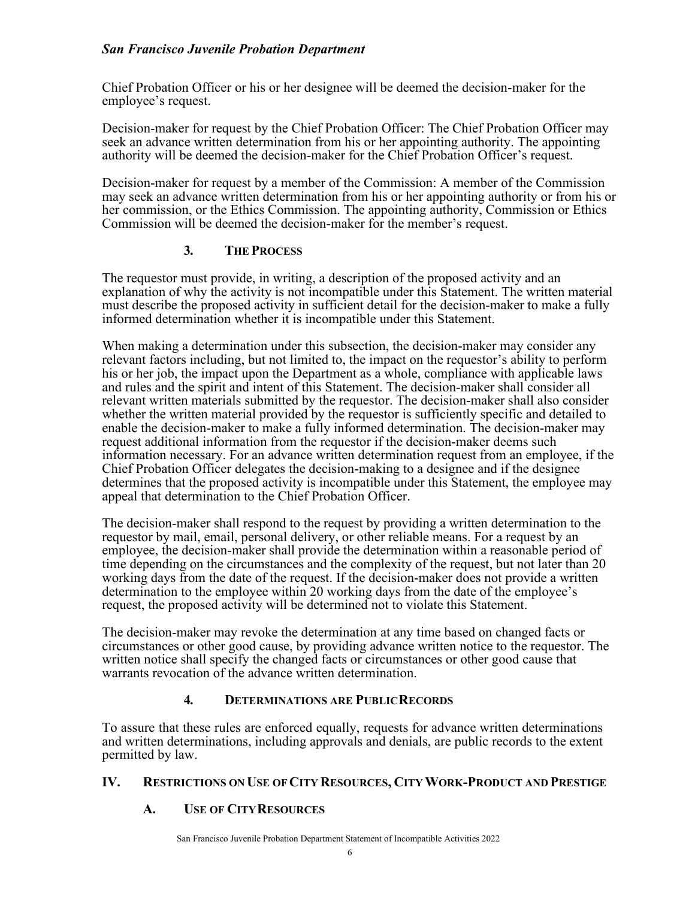### *San Francisco Juvenile Probation Department*

Chief Probation Officer or his or her designee will be deemed the decision-maker for the employee's request.

Decision-maker for request by the Chief Probation Officer: The Chief Probation Officer may seek an advance written determination from his or her appointing authority. The appointing authority will be deemed the decision-maker for the Chief Probation Officer's request.

Decision-maker for request by a member of the Commission: A member of the Commission may seek an advance written determination from his or her appointing authority or from his or her commission, or the Ethics Commission. The appointing authority, Commission or Ethics Commission will be deemed the decision-maker for the member's request.

### **3. THE PROCESS**

The requestor must provide, in writing, a description of the proposed activity and an explanation of why the activity is not incompatible under this Statement. The written material must describe the proposed activity in sufficient detail for the decision-maker to make a fully informed determination whether it is incompatible under this Statement.

When making a determination under this subsection, the decision-maker may consider any relevant factors including, but not limited to, the impact on the requestor's ability to perform his or her job, the impact upon the Department as a whole, compliance with applicable laws and rules and the spirit and intent of this Statement. The decision-maker shall consider all relevant written materials submitted by the requestor. The decision-maker shall also consider whether the written material provided by the requestor is sufficiently specific and detailed to enable the decision-maker to make a fully informed determination. The decision-maker may request additional information from the requestor if the decision-maker deems such information necessary. For an advance written determination request from an employee, if the Chief Probation Officer delegates the decision-making to a designee and if the designee determines that the proposed activity is incompatible under this Statement, the employee may appeal that determination to the Chief Probation Officer.

The decision-maker shall respond to the request by providing a written determination to the requestor by mail, email, personal delivery, or other reliable means. For a request by an employee, the decision-maker shall provide the determination within a reasonable period of time depending on the circumstances and the complexity of the request, but not later than 20 working days from the date of the request. If the decision-maker does not provide a written determination to the employee within 20 working days from the date of the employee's request, the proposed activity will be determined not to violate this Statement.

The decision-maker may revoke the determination at any time based on changed facts or circumstances or other good cause, by providing advance written notice to the requestor. The written notice shall specify the changed facts or circumstances or other good cause that warrants revocation of the advance written determination.

### **4. DETERMINATIONS ARE PUBLICRECORDS**

To assure that these rules are enforced equally, requests for advance written determinations and written determinations, including approvals and denials, are public records to the extent permitted by law.

### **IV. RESTRICTIONS ON USE OFCITY RESOURCES, CITYWORK-PRODUCT AND PRESTIGE**

# **A. USE OF CITYRESOURCES**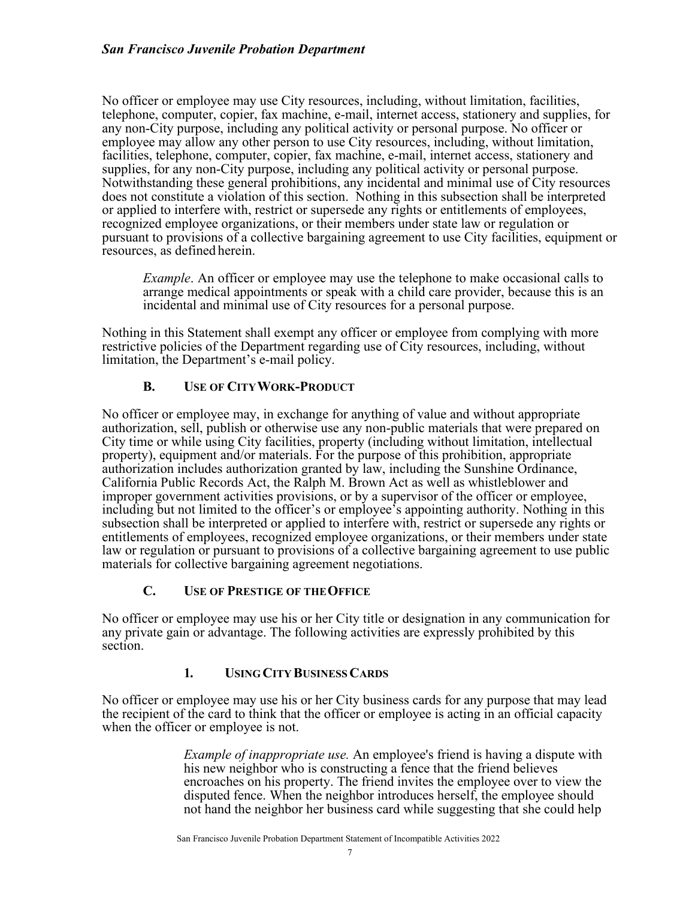No officer or employee may use City resources, including, without limitation, facilities, telephone, computer, copier, fax machine, e-mail, internet access, stationery and supplies, for any non-City purpose, including any political activity or personal purpose. No officer or employee may allow any other person to use City resources, including, without limitation, facilities, telephone, computer, copier, fax machine, e-mail, internet access, stationery and supplies, for any non-City purpose, including any political activity or personal purpose. Notwithstanding these general prohibitions, any incidental and minimal use of City resources does not constitute a violation of this section. Nothing in this subsection shall be interpreted or applied to interfere with, restrict or supersede any rights or entitlements of employees, recognized employee organizations, or their members under state law or regulation or pursuant to provisions of a collective bargaining agreement to use City facilities, equipment or resources, as defined herein.

*Example*. An officer or employee may use the telephone to make occasional calls to arrange medical appointments or speak with a child care provider, because this is an incidental and minimal use of City resources for a personal purpose.

Nothing in this Statement shall exempt any officer or employee from complying with more restrictive policies of the Department regarding use of City resources, including, without limitation, the Department's e-mail policy.

# **B. USE OF CITYWORK-PRODUCT**

No officer or employee may, in exchange for anything of value and without appropriate authorization, sell, publish or otherwise use any non-public materials that were prepared on City time or while using City facilities, property (including without limitation, intellectual property), equipment and/or materials. For the purpose of this prohibition, appropriate authorization includes authorization granted by law, including the Sunshine Ordinance, California Public Records Act, the Ralph M. Brown Act as well as whistleblower and improper government activities provisions, or by a supervisor of the officer or employee, including but not limited to the officer's or employee's appointing authority. Nothing in this subsection shall be interpreted or applied to interfere with, restrict or supersede any rights or entitlements of employees, recognized employee organizations, or their members under state law or regulation or pursuant to provisions of a collective bargaining agreement to use public materials for collective bargaining agreement negotiations.

# **C. USE OF PRESTIGE OF THEOFFICE**

No officer or employee may use his or her City title or designation in any communication for any private gain or advantage. The following activities are expressly prohibited by this section.

# **1. USING CITY BUSINESSCARDS**

No officer or employee may use his or her City business cards for any purpose that may lead the recipient of the card to think that the officer or employee is acting in an official capacity when the officer or employee is not.

> *Example of inappropriate use.* An employee's friend is having a dispute with his new neighbor who is constructing a fence that the friend believes encroaches on his property. The friend invites the employee over to view the disputed fence. When the neighbor introduces herself, the employee should not hand the neighbor her business card while suggesting that she could help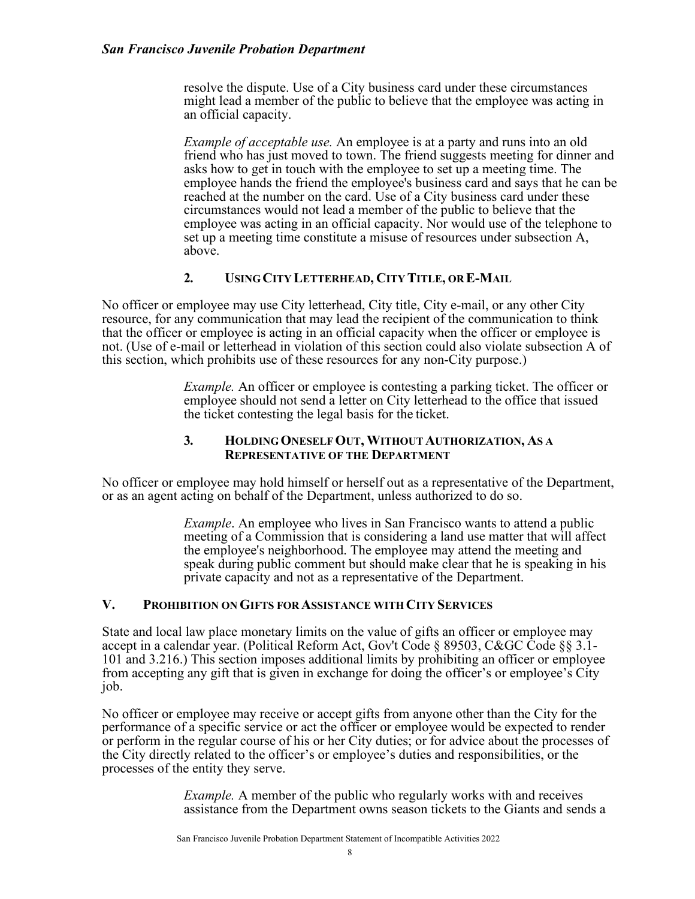resolve the dispute. Use of a City business card under these circumstances might lead a member of the public to believe that the employee was acting in an official capacity.

*Example of acceptable use.* An employee is at a party and runs into an old friend who has just moved to town. The friend suggests meeting for dinner and asks how to get in touch with the employee to set up a meeting time. The employee hands the friend the employee's business card and says that he can be reached at the number on the card. Use of a City business card under these circumstances would not lead a member of the public to believe that the employee was acting in an official capacity. Nor would use of the telephone to set up a meeting time constitute a misuse of resources under subsection A, above.

### **2. USING CITY LETTERHEAD, CITY TITLE, OR E-MAIL**

No officer or employee may use City letterhead, City title, City e-mail, or any other City resource, for any communication that may lead the recipient of the communication to think that the officer or employee is acting in an official capacity when the officer or employee is not. (Use of e-mail or letterhead in violation of this section could also violate subsection A of this section, which prohibits use of these resources for any non-City purpose.)

> *Example.* An officer or employee is contesting a parking ticket. The officer or employee should not send a letter on City letterhead to the office that issued the ticket contesting the legal basis for the ticket.

### **3. HOLDING ONESELFOUT, WITHOUTAUTHORIZATION, AS A REPRESENTATIVE OF THE DEPARTMENT**

No officer or employee may hold himself or herself out as a representative of the Department, or as an agent acting on behalf of the Department, unless authorized to do so.

> *Example*. An employee who lives in San Francisco wants to attend a public meeting of a Commission that is considering a land use matter that will affect the employee's neighborhood. The employee may attend the meeting and speak during public comment but should make clear that he is speaking in his private capacity and not as a representative of the Department.

### **V. PROHIBITION ONGIFTS FOR ASSISTANCE WITH CITY SERVICES**

State and local law place monetary limits on the value of gifts an officer or employee may accept in a calendar year. (Political Reform Act, Gov't Code § 89503, C&GC Code §§ 3.1- 101 and 3.216.) This section imposes additional limits by prohibiting an officer or employee from accepting any gift that is given in exchange for doing the officer's or employee's City job.

No officer or employee may receive or accept gifts from anyone other than the City for the performance of a specific service or act the officer or employee would be expected to render or perform in the regular course of his or her City duties; or for advice about the processes of the City directly related to the officer's or employee's duties and responsibilities, or the processes of the entity they serve.

> *Example.* A member of the public who regularly works with and receives assistance from the Department owns season tickets to the Giants and sends a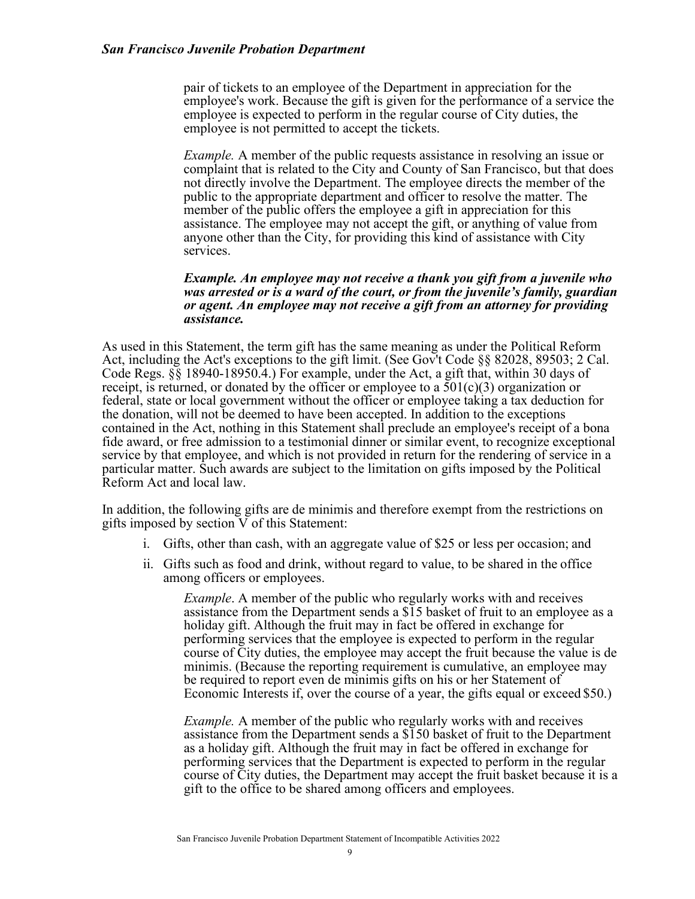pair of tickets to an employee of the Department in appreciation for the employee's work. Because the gift is given for the performance of a service the employee is expected to perform in the regular course of City duties, the employee is not permitted to accept the tickets.

*Example.* A member of the public requests assistance in resolving an issue or complaint that is related to the City and County of San Francisco, but that does not directly involve the Department. The employee directs the member of the public to the appropriate department and officer to resolve the matter. The member of the public offers the employee a gift in appreciation for this assistance. The employee may not accept the gift, or anything of value from anyone other than the City, for providing this kind of assistance with City services.

#### *Example. An employee may not receive a thank you gift from a juvenile who was arrested or is a ward of the court, or from the juvenile's family, guardian or agent. An employee may not receive a gift from an attorney for providing assistance.*

As used in this Statement, the term gift has the same meaning as under the Political Reform Act, including the Act's exceptions to the gift limit. (See Gov't Code §§ 82028, 89503; 2 Cal. Code Regs. §§ 18940-18950.4.) For example, under the Act, a gift that, within 30 days of receipt, is returned, or donated by the officer or employee to a  $501(c)(3)$  organization or federal, state or local government without the officer or employee taking a tax deduction for the donation, will not be deemed to have been accepted. In addition to the exceptions contained in the Act, nothing in this Statement shall preclude an employee's receipt of a bona fide award, or free admission to a testimonial dinner or similar event, to recognize exceptional service by that employee, and which is not provided in return for the rendering of service in a particular matter. Such awards are subject to the limitation on gifts imposed by the Political Reform Act and local law.

In addition, the following gifts are de minimis and therefore exempt from the restrictions on gifts imposed by section V of this Statement:

- i. Gifts, other than cash, with an aggregate value of \$25 or less per occasion; and
- ii. Gifts such as food and drink, without regard to value, to be shared in the office among officers or employees.

*Example*. A member of the public who regularly works with and receives assistance from the Department sends a \$15 basket of fruit to an employee as a holiday gift. Although the fruit may in fact be offered in exchange for performing services that the employee is expected to perform in the regular course of City duties, the employee may accept the fruit because the value is de minimis. (Because the reporting requirement is cumulative, an employee may be required to report even de minimis gifts on his or her Statement of Economic Interests if, over the course of a year, the gifts equal or exceed \$50.)

*Example.* A member of the public who regularly works with and receives assistance from the Department sends a \$150 basket of fruit to the Department as a holiday gift. Although the fruit may in fact be offered in exchange for performing services that the Department is expected to perform in the regular course of City duties, the Department may accept the fruit basket because it is a gift to the office to be shared among officers and employees.